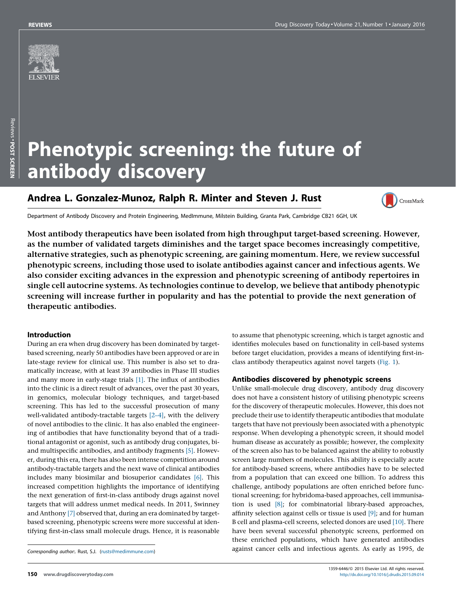

# Phenotypic screening: the future of antibody discovery

# Andrea L. Gonzalez-Munoz, Ralph R. Minter and Steven J. Rust



Department of Antibody Discovery and Protein Engineering, MedImmune, Milstein Building, Granta Park, Cambridge CB21 6GH, UK

Most antibody therapeutics have been isolated from high throughput target-based screening. However, as the number of validated targets diminishes and the target space becomes increasingly competitive, alternative strategies, such as phenotypic screening, are gaining momentum. Here, we review successful phenotypic screens, including those used to isolate antibodies against cancer and infectious agents. We also consider exciting advances in the expression and phenotypic screening of antibody repertoires in single cell autocrine systems. As technologies continue to develop, we believe that antibody phenotypic screening will increase further in popularity and has the potential to provide the next generation of therapeutic antibodies.

#### Introduction

During an era when drug discovery has been dominated by targetbased screening, nearly 50 antibodies have been approved or are in late-stage review for clinical use. This number is also set to dramatically increase, with at least 39 antibodies in Phase III studies and many more in early-stage trials [\[1\].](#page-5-0) The influx of antibodies into the clinic is a direct result of advances, over the past 30 years, in genomics, molecular biology techniques, and target-based screening. This has led to the successful prosecution of many well-validated antibody-tractable targets [\[2–4\]](#page-5-0), with the delivery of novel antibodies to the clinic. It has also enabled the engineering of antibodies that have functionality beyond that of a traditional antagonist or agonist, such as antibody drug conjugates, biand multispecific antibodies, and antibody fragments [\[5\].](#page-5-0) However, during this era, there has also been intense competition around antibody-tractable targets and the next wave of clinical antibodies includes many biosimilar and biosuperior candidates [\[6\]](#page-5-0). This increased competition highlights the importance of identifying the next generation of first-in-class antibody drugs against novel targets that will address unmet medical needs. In 2011, Swinney and Anthony [\[7\]](#page-5-0) observed that, during an era dominated by targetbased screening, phenotypic screens were more successful at identifying first-in-class small molecule drugs. Hence, it is reasonable

to assume that phenotypic screening, which is target agnostic and identifies molecules based on functionality in cell-based systems before target elucidation, provides a means of identifying first-inclass antibody therapeutics against novel targets [\(Fig.](#page-1-0) 1).

#### Antibodies discovered by phenotypic screens

Unlike small-molecule drug discovery, antibody drug discovery does not have a consistent history of utilising phenotypic screens for the discovery of therapeutic molecules. However, this does not preclude their use to identify therapeutic antibodies that modulate targets that have not previously been associated with a phenotypic response. When developing a phenotypic screen, it should model human disease as accurately as possible; however, the complexity of the screen also has to be balanced against the ability to robustly screen large numbers of molecules. This ability is especially acute for antibody-based screens, where antibodies have to be selected from a population that can exceed one billion. To address this challenge, antibody populations are often enriched before functional screening; for hybridoma-based approaches, cell immunisation is used [\[8\];](#page-5-0) for combinatorial library-based approaches, affinity selection against cells or tissue is used [\[9\]](#page-5-0); and for human B cell and plasma-cell screens, selected donors are used [\[10\].](#page-5-0) There have been several successful phenotypic screens, performed on these enriched populations, which have generated antibodies against cancer cells and infectious agents. As early as 1995, de

Corresponding author:. Rust, S.J. [\(rusts@medimmune.com\)](mailto:rusts@medimmune.com)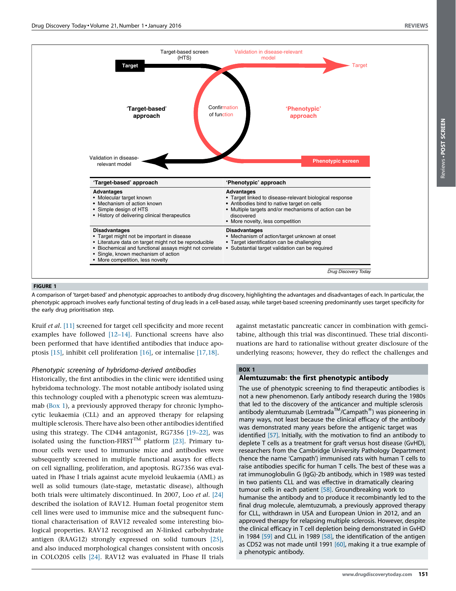<span id="page-1-0"></span>

#### FIGURE 1

A comparison of 'target-based' and phenotypic approaches to antibody drug discovery, highlighting the advantages and disadvantages of each. In particular, the phenotypic approach involves early functional testing of drug leads in a cell-based assay, while target-based screening predominantly uses target specificity for the early drug prioritisation step.

Kruif et al. [\[11\]](#page-5-0) screened for target cell specificity and more recent examples have followed [\[12–14\]](#page-5-0). Functional screens have also been performed that have identified antibodies that induce apoptosis [\[15\],](#page-5-0) inhibit cell proliferation [\[16\]](#page-5-0), or internalise [\[17,18\].](#page-5-0)

#### Phenotypic screening of hybridoma-derived antibodies

Historically, the first antibodies in the clinic were identified using hybridoma technology. The most notable antibody isolated using this technology coupled with a phenotypic screen was alemtuzumab (Box 1), a previously approved therapy for chronic lymphocytic leukaemia (CLL) and an approved therapy for relapsing multiple sclerosis. There have also been other antibodies identified using this strategy. The CD44 antagonist, RG7356 [\[19–22\],](#page-5-0) was isolated using the function-FIRST<sup>TM</sup> platform [\[23\]](#page-5-0). Primary tumour cells were used to immunise mice and antibodies were subsequently screened in multiple functional assays for effects on cell signalling, proliferation, and apoptosis. RG7356 was evaluated in Phase I trials against acute myeloid leukaemia (AML) as well as solid tumours (late-stage, metastatic disease), although both trials were ultimately discontinued. In 2007, Loo et al. [\[24\]](#page-5-0) described the isolation of RAV12. Human foetal progenitor stem cell lines were used to immunise mice and the subsequent functional characterisation of RAV12 revealed some interesting biological properties. RAV12 recognised an N-linked carbohydrate antigen (RAAG12) strongly expressed on solid tumours [\[25\],](#page-5-0) and also induced morphological changes consistent with oncosis in COLO205 cells [\[24\].](#page-5-0) RAV12 was evaluated in Phase II trials against metastatic pancreatic cancer in combination with gemcitabine, although this trial was discontinued. These trial discontinuations are hard to rationalise without greater disclosure of the underlying reasons; however, they do reflect the challenges and

# BOX 1

# Alemtuzumab: the first phenotypic antibody

The use of phenotypic screening to find therapeutic antibodies is not a new phenomenon. Early antibody research during the 1980s that led to the discovery of the anticancer and multiple sclerosis antibody alemtuzumab (Lemtrada<sup>TM</sup>/Campath<sup>®</sup>) was pioneering in many ways, not least because the clinical efficacy of the antibody was demonstrated many years before the antigenic target was identified [\[57\].](#page-6-0) Initially, with the motivation to find an antibody to deplete T cells as a treatment for graft versus host disease (GvHD), researchers from the Cambridge University Pathology Department (hence the name 'Campath') immunised rats with human T cells to raise antibodies specific for human T cells. The best of these was a rat immunoglobulin G (IgG)-2b antibody, which in 1989 was tested in two patients CLL and was effective in dramatically clearing tumour cells in each patient [\[58\].](#page-6-0) Groundbreaking work to humanise the antibody and to produce it recombinantly led to the final drug molecule, alemtuzumab, a previously approved therapy for CLL, withdrawn in USA and European Union in 2012, and an approved therapy for relapsing multiple sclerosis. However, despite the clinical efficacy in T cell depletion being demonstrated in GvHD in 1984 [\[59\]](#page-6-0) and CLL in 1989 [\[58\],](#page-6-0) the identification of the antigen as CD52 was not made until 1991 [\[60\],](#page-6-0) making it a true example of a phenotypic antibody.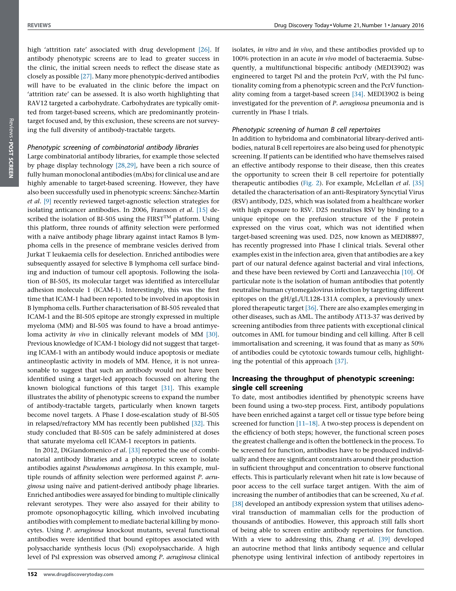high 'attrition rate' associated with drug development [\[26\]](#page-5-0). If antibody phenotypic screens are to lead to greater success in the clinic, the initial screen needs to reflect the disease state as closely as possible [\[27\].](#page-6-0) Many more phenotypic-derived antibodies will have to be evaluated in the clinic before the impact on 'attrition rate' can be assessed. It is also worth highlighting that RAV12 targeted a carbohydrate. Carbohydrates are typically omitted from target-based screens, which are predominantly proteintarget focused and, by this exclusion, these screens are not surveying the full diversity of antibody-tractable targets.

## Phenotypic screening of combinatorial antibody libraries

Large combinatorial antibody libraries, for example those selected by phage display technology [\[28,29\],](#page-6-0) have been a rich source of fully human monoclonal antibodies (mAbs) for clinical use and are highly amenable to target-based screening. However, they have also been successfully used in phenotypic screens: Sánchez-Martín et al. [\[9\]](#page-5-0) recently reviewed target-agnostic selection strategies for isolating anticancer antibodies. In 2006, Fransson et al. [\[15\]](#page-5-0) described the isolation of BI-505 using the FIRST<sup>TM</sup> platform. Using this platform, three rounds of affinity selection were performed with a naïve antibody phage library against intact Ramos B lymphoma cells in the presence of membrane vesicles derived from Jurkat T leukaemia cells for deselection. Enriched antibodies were subsequently assayed for selective B lymphoma cell surface binding and induction of tumour cell apoptosis. Following the isolation of BI-505, its molecular target was identified as intercellular adhesion molecule 1 (ICAM-1). Interestingly, this was the first time that ICAM-1 had been reported to be involved in apoptosis in B lymphoma cells. Further characterisation of BI-505 revealed that ICAM-1 and the BI-505 epitope are strongly expressed in multiple myeloma (MM) and BI-505 was found to have a broad antimyeloma activity in vivo in clinically relevant models of MM [\[30\]](#page-6-0). Previous knowledge of ICAM-1 biology did not suggest that targeting ICAM-1 with an antibody would induce apoptosis or mediate antineoplastic activity in models of MM. Hence, it is not unreasonable to suggest that such an antibody would not have been identified using a target-led approach focussed on altering the known biological functions of this target [\[31\].](#page-6-0) This example illustrates the ability of phenotypic screens to expand the number of antibody-tractable targets, particularly when known targets become novel targets. A Phase I dose-escalation study of BI-505 in relapsed/refractory MM has recently been published [\[32\].](#page-6-0) This study concluded that BI-505 can be safely administered at doses that saturate myeloma cell ICAM-1 receptors in patients.

In 2012, DiGiandomenico et al. [\[33\]](#page-6-0) reported the use of combinatorial antibody libraries and a phenotypic screen to isolate antibodies against Pseudomonas aeruginosa. In this example, multiple rounds of affinity selection were performed against P. aeruginosa using naïve and patient-derived antibody phage libraries. Enriched antibodies were assayed for binding to multiple clinically relevant serotypes. They were also assayed for their ability to promote opsonophagocytic killing, which involved incubating antibodies with complement to mediate bacterial killing by monocytes. Using P. aeruginosa knockout mutants, several functional antibodies were identified that bound epitopes associated with polysaccharide synthesis locus (Psl) exopolysaccharide. A high level of Psl expression was observed among P. aeruginosa clinical

isolates, in vitro and in vivo, and these antibodies provided up to 100% protection in an acute in vivo model of bacteraemia. Subsequently, a multifunctional bispecific antibody (MEDI3902) was engineered to target Psl and the protein PcrV, with the Psl functionality coming from a phenotypic screen and the PcrV functionality coming from a target-based screen [\[34\]](#page-6-0). MEDI3902 is being investigated for the prevention of P. aeruginosa pneumonia and is currently in Phase I trials.

#### Phenotypic screening of human B cell repertoires

In addition to hybridoma and combinatorial library-derived antibodies, natural B cell repertoires are also being used for phenotypic screening. If patients can be identified who have themselves raised an effective antibody response to their disease, then this creates the opportunity to screen their B cell repertoire for potentially therapeutic antibodies [\(Fig.](#page-3-0) 2). For example, McLellan et al. [\[35\]](#page-6-0) detailed the characterisation of an anti-Respiratory Syncytial Virus (RSV) antibody, D25, which was isolated from a healthcare worker with high exposure to RSV. D25 neutralises RSV by binding to a unique epitope on the prefusion structure of the F protein expressed on the virus coat, which was not identified when target-based screening was used. D25, now known as MEDI8897, has recently progressed into Phase I clinical trials. Several other examples exist in the infection area, given that antibodies are a key part of our natural defence against bacterial and viral infections, and these have been reviewed by Corti and Lanzavecchia [\[10\]](#page-5-0). Of particular note is the isolation of human antibodies that potently neutralise human cytomegalovirus infection by targeting different epitopes on the gH/gL/UL128-131A complex, a previously unexplored therapeutic target [\[36\]](#page-6-0). There are also examples emerging in other diseases, such as AML. The antibody AT13-37 was derived by screening antibodies from three patients with exceptional clinical outcomes in AML for tumour binding and cell killing. After B cell immortalisation and screening, it was found that as many as 50% of antibodies could be cytotoxic towards tumour cells, highlighting the potential of this approach [\[37\]](#page-6-0).

# Increasing the throughput of phenotypic screening: single cell screening

To date, most antibodies identified by phenotypic screens have been found using a two-step process. First, antibody populations have been enriched against a target cell or tissue type before being screened for function [\[11–18\]](#page-5-0). A two-step process is dependent on the efficiency of both steps; however, the functional screen poses the greatest challenge and is often the bottleneck in the process. To be screened for function, antibodies have to be produced individually and there are significant constraints around their production in sufficient throughput and concentration to observe functional effects. This is particularly relevant when hit rate is low because of poor access to the cell surface target antigen. With the aim of increasing the number of antibodies that can be screened, Xu et al. [\[38\]](#page-6-0) developed an antibody expression system that utilises adenoviral transduction of mammalian cells for the production of thousands of antibodies. However, this approach still falls short of being able to screen entire antibody repertoires for function. With a view to addressing this, Zhang et al. [\[39\]](#page-6-0) developed an autocrine method that links antibody sequence and cellular phenotype using lentiviral infection of antibody repertoires in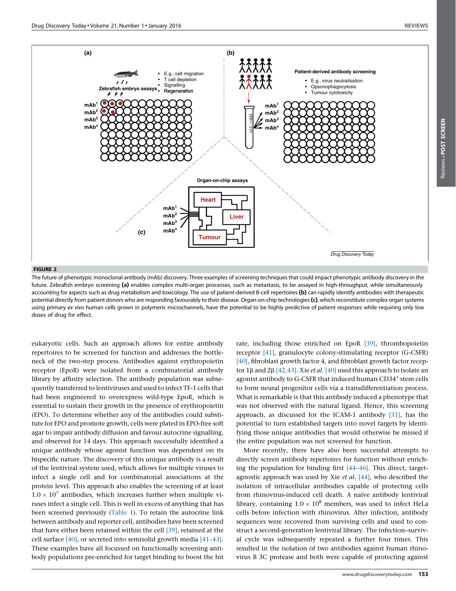Reviews -

POST SCREEN

Reviews . POST SCREEN

<span id="page-3-0"></span>

#### FIGURE 2

The future of phenotypic monoclonal antibody (mAb) discovery. Three examples of screening techniques that could impact phenotypic antibody discovery in the future. Zebrafish embryo screening (a) enables complex multi-organ processes, such as metastasis, to be assayed in high-throughput, while simultaneously accounting for aspects such as drug metabolism and toxicology. The use of patient-derived B-cell repertoires (b) can rapidly identify antibodies with therapeutic potential directly from patient donors who are responding favourably to their disease. Organ-on-chip technologies (c), which reconstitute complex organ systems using primary ex vivo human cells grown in polymeric microchannels, have the potential to be highly predictive of patient responses while requiring only low doses of drug for effect.

eukaryotic cells. Such an approach allows for entire antibody repertoires to be screened for function and addresses the bottleneck of the two-step process. Antibodies against erythropoietin receptor (EpoR) were isolated from a combinatorial antibody library by affinity selection. The antibody population was subsequently transferred to lentiviruses and used to infect TF-1 cells that had been engineered to overexpress wild-type EpoR, which is essential to sustain their growth in the presence of erythropoietin (EPO). To determine whether any of the antibodies could substitute for EPO and promote growth, cells were plated in EPO-free soft agar to impair antibody diffusion and favour autocrine signalling, and observed for 14 days. This approach successfully identified a unique antibody whose agonist function was dependent on its bispecific nature. The discovery of this unique antibody is a result of the lentiviral system used, which allows for multiple viruses to infect a single cell and for combinatorial associations at the protein level. This approach also enables the screening of at least  $1.0 \times 10^7$  antibodies, which increases further when multiple viruses infect a single cell. This is well in excess of anything that has been screened previously ([Table](#page-4-0) 1). To retain the autocrine link between antibody and reporter cell, antibodies have been screened that have either been retained within the cell [\[39\]](#page-6-0), retained at the cell surface [\[40\],](#page-6-0) or secreted into semisolid growth media [\[41–43\].](#page-6-0) These examples have all focussed on functionally screening antibody populations pre-enriched for target binding to boost the hit rate, including those enriched on EpoR [\[39\],](#page-6-0) thrombopoietin receptor [\[41\],](#page-6-0) granulocyte colony-stimulating receptor (G-CSFR) [\[40\],](#page-6-0) fibroblast growth factor 4, and fibroblast growth factor receptor 1 $\beta$  and 2 $\beta$  [\[42,43\]](#page-6-0). Xie *et al.* [\[40\]](#page-6-0) used this approach to isolate an agonist antibody to G-CSFR that induced human CD34<sup>+</sup> stem cells to form neural progenitor cells via a transdifferentiation process. What is remarkable is that this antibody induced a phenotype that was not observed with the natural ligand. Hence, this screening approach, as discussed for the ICAM-1 antibody [\[31\],](#page-6-0) has the potential to turn established targets into novel targets by identifying those unique antibodies that would otherwise be missed if the entire population was not screened for function.

More recently, there have also been successful attempts to directly screen antibody repertoires for function without enriching the population for binding first [\[44–46\].](#page-6-0) This direct, targetagnostic approach was used by Xie et al. [\[44\],](#page-6-0) who described the isolation of intracellular antibodies capable of protecting cells from rhinovirus-induced cell death. A naïve antibody lentiviral library, containing  $1.0 \times 10^8$  members, was used to infect HeLa cells before infection with rhinovirus. After infection, antibody sequences were recovered from surviving cells and used to construct a second-generation lentiviral library. The infection–survival cycle was subsequently repeated a further four times. This resulted in the isolation of two antibodies against human rhinovirus B 3C protease and both were capable of protecting against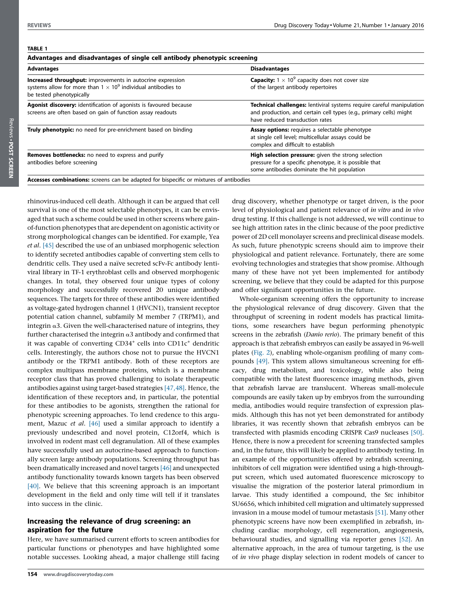#### <span id="page-4-0"></span>TABLE 1

| Advantages and disadvantages of single cell antibody phenotypic screening                                                                                                      |  |
|--------------------------------------------------------------------------------------------------------------------------------------------------------------------------------|--|
| <b>Disadvantages</b>                                                                                                                                                           |  |
| <b>Capacity:</b> $1 \times 10^9$ capacity does not cover size<br>of the largest antibody repertoires                                                                           |  |
| Technical challenges: lentiviral systems require careful manipulation<br>and production, and certain cell types (e.g., primary cells) might<br>have reduced transduction rates |  |
| <b>Assay options:</b> requires a selectable phenotype<br>at single cell level; multicellular assays could be<br>complex and difficult to establish                             |  |
| High selection pressure: given the strong selection<br>pressure for a specific phenotype, it is possible that<br>some antibodies dominate the hit population                   |  |
|                                                                                                                                                                                |  |

rhinovirus-induced cell death. Although it can be argued that cell survival is one of the most selectable phenotypes, it can be envisaged that such a scheme could be used in other screens where gainof-function phenotypes that are dependent on agonistic activity or strong morphological changes can be identified. For example, Yea et al. [\[45\]](#page-6-0) described the use of an unbiased morphogenic selection to identify secreted antibodies capable of converting stem cells to dendritic cells. They used a naïve secreted scFv-Fc antibody lentiviral library in TF-1 erythroblast cells and observed morphogenic changes. In total, they observed four unique types of colony morphology and successfully recovered 20 unique antibody sequences. The targets for three of these antibodies were identified as voltage-gated hydrogen channel 1 (HVCN1), transient receptor potential cation channel, subfamily M member 7 (TRPM1), and integrin  $\alpha$ 3. Given the well-characterised nature of integrins, they further characterised the integrin  $\alpha$ 3 antibody and confirmed that it was capable of converting CD34<sup>+</sup> cells into CD11c<sup>+</sup> dendritic cells. Interestingly, the authors chose not to pursue the HVCN1 antibody or the TRPM1 antibody. Both of these receptors are complex multipass membrane proteins, which is a membrane receptor class that has proved challenging to isolate therapeutic antibodies against using target-based strategies [\[47,48\]](#page-6-0). Hence, the identification of these receptors and, in particular, the potential for these antibodies to be agonists, strengthen the rational for phenotypic screening approaches. To lend credence to this argument, Mazuc et al. [\[46\]](#page-6-0) used a similar approach to identify a previously undescribed and novel protein, C12orf4, which is involved in rodent mast cell degranulation. All of these examples have successfully used an autocrine-based approach to functionally screen large antibody populations. Screening throughput has been dramatically increased and novel targets [\[46\]](#page-6-0) and unexpected antibody functionality towards known targets has been observed [\[40\]](#page-6-0). We believe that this screening approach is an important development in the field and only time will tell if it translates into success in the clinic.

## Increasing the relevance of drug screening: an aspiration for the future

Here, we have summarised current efforts to screen antibodies for particular functions or phenotypes and have highlighted some notable successes. Looking ahead, a major challenge still facing

drug discovery, whether phenotype or target driven, is the poor level of physiological and patient relevance of in vitro and in vivo drug testing. If this challenge is not addressed, we will continue to see high attrition rates in the clinic because of the poor predictive power of 2D cell monolayer screens and preclinical disease models. As such, future phenotypic screens should aim to improve their physiological and patient relevance. Fortunately, there are some evolving technologies and strategies that show promise. Although many of these have not yet been implemented for antibody screening, we believe that they could be adapted for this purpose and offer significant opportunities in the future.

Whole-organism screening offers the opportunity to increase the physiological relevance of drug discovery. Given that the throughput of screening in rodent models has practical limitations, some researchers have begun performing phenotypic screens in the zebrafish (Danio rerio). The primary benefit of this approach is that zebrafish embryos can easily be assayed in 96-well plates ([Fig.](#page-3-0) 2), enabling whole-organism profiling of many compounds [\[49\].](#page-6-0) This system allows simultaneous screening for efficacy, drug metabolism, and toxicology, while also being compatible with the latest fluorescence imaging methods, given that zebrafish larvae are translucent. Whereas small-molecule compounds are easily taken up by embryos from the surrounding media, antibodies would require transfection of expression plasmids. Although this has not yet been demonstrated for antibody libraries, it was recently shown that zebrafish embryos can be transfected with plasmids encoding CRISPR Cas9 nucleases [\[50\]](#page-6-0). Hence, there is now a precedent for screening transfected samples and, in the future, this will likely be applied to antibody testing. In an example of the opportunities offered by zebrafish screening, inhibitors of cell migration were identified using a high-throughput screen, which used automated fluorescence microscopy to visualise the migration of the posterior lateral primordium in larvae. This study identified a compound, the Src inhibitor SU6656, which inhibited cell migration and ultimately suppressed invasion in a mouse model of tumour metastasis [\[51\]](#page-6-0). Many other phenotypic screens have now been exemplified in zebrafish, including cardiac morphology, cell regeneration, angiogenesis, behavioural studies, and signalling via reporter genes [\[52\].](#page-6-0) An alternative approach, in the area of tumour targeting, is the use of in vivo phage display selection in rodent models of cancer to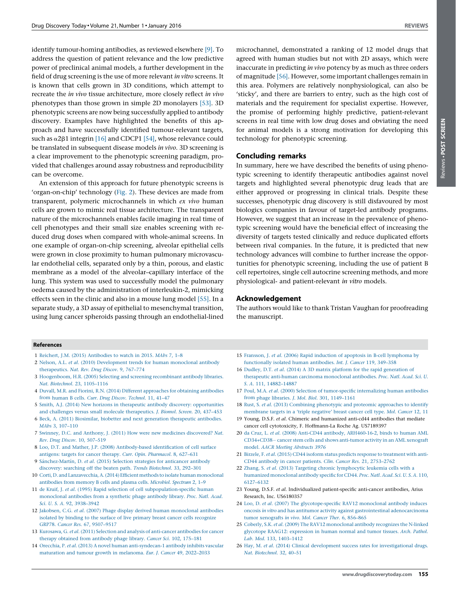<span id="page-5-0"></span>identify tumour-homing antibodies, as reviewed elsewhere [9]. To address the question of patient relevance and the low predictive power of preclinical animal models, a further development in the field of drug screening is the use of more relevant in vitro screens. It is known that cells grown in 3D conditions, which attempt to recreate the in vivo tissue architecture, more closely reflect in vivo phenotypes than those grown in simple 2D monolayers [\[53\].](#page-6-0) 3D phenotypic screens are now being successfully applied to antibody discovery. Examples have highlighted the benefits of this approach and have successfully identified tumour-relevant targets, such as  $\alpha$ 2 $\beta$ 1 integrin [16] and CDCP1 [\[54\]](#page-6-0), whose relevance could be translated in subsequent disease models in vivo. 3D screening is a clear improvement to the phenotypic screening paradigm, provided that challenges around assay robustness and reproducibility can be overcome.

An extension of this approach for future phenotypic screens is 'organ-on-chip' technology ([Fig.](#page-3-0) 2). These devices are made from transparent, polymeric microchannels in which ex vivo human cells are grown to mimic real tissue architecture. The transparent nature of the microchannels enables facile imaging in real time of cell phenotypes and their small size enables screening with reduced drug doses when compared with whole-animal screens. In one example of organ-on-chip screening, alveolar epithelial cells were grown in close proximity to human pulmonary microvascular endothelial cells, separated only by a thin, porous, and elastic membrane as a model of the alveolar–capillary interface of the lung. This system was used to successfully model the pulmonary oedema caused by the administration of interleukin-2, mimicking effects seen in the clinic and also in a mouse lung model [\[55\].](#page-6-0) In a separate study, a 3D assay of epithelial to mesenchymal transition, using lung cancer spheroids passing through an endothelial-lined

microchannel, demonstrated a ranking of 12 model drugs that agreed with human studies but not with 2D assays, which were inaccurate in predicting in vivo potency by as much as three orders of magnitude [\[56\].](#page-6-0) However, some important challenges remain in this area. Polymers are relatively nonphysiological, can also be 'sticky', and there are barriers to entry, such as the high cost of materials and the requirement for specialist expertise. However, the promise of performing highly predictive, patient-relevant screens in real time with low drug doses and obviating the need for animal models is a strong motivation for developing this technology for phenotypic screening.

#### Concluding remarks

In summary, here we have described the benefits of using phenotypic screening to identify therapeutic antibodies against novel targets and highlighted several phenotypic drug leads that are either approved or progressing in clinical trials. Despite these successes, phenotypic drug discovery is still disfavoured by most biologics companies in favour of target-led antibody programs. However, we suggest that an increase in the prevalence of phenotypic screening would have the beneficial effect of increasing the diversity of targets tested clinically and reduce duplicated efforts between rival companies. In the future, it is predicted that new technology advances will combine to further increase the opportunities for phenotypic screening, including the use of patient B cell repertoires, single cell autocrine screening methods, and more physiological- and patient-relevant in vitro models.

#### Acknowledgement

The authors would like to thank Tristan Vaughan for proofreading the manuscript.

#### References

- 1 Reichert, J.M. (2015) [Antibodies](http://refhub.elsevier.com/S1359-6446(15)00370-0/sbref0295) to watch in 2015. MAbs 7, 1–8
- 2 Nelson, A.L. et al. (2010) [Development](http://refhub.elsevier.com/S1359-6446(15)00370-0/sbref0300) trends for human monoclonal antibody [therapeutics.](http://refhub.elsevier.com/S1359-6446(15)00370-0/sbref0300) Nat. Rev. Drug Discov. 9, 767–774
- 3 [Hoogenboom,](http://refhub.elsevier.com/S1359-6446(15)00370-0/sbref0305) H.R. (2005) Selecting and screening recombinant antibody libraries. Nat. Biotechnol. 23, [1105–1116](http://refhub.elsevier.com/S1359-6446(15)00370-0/sbref0305)
- 4 Duvall, M.R. and Fiorini, R.N. (2014) Different [approaches](http://refhub.elsevier.com/S1359-6446(15)00370-0/sbref0310) for obtaining antibodies from human B cells. Curr. Drug Discov. [Technol.](http://refhub.elsevier.com/S1359-6446(15)00370-0/sbref0310) 11, 41–47
- 5 Smith, A.J. (2014) New horizons in therapeutic antibody discovery: [opportunities](http://refhub.elsevier.com/S1359-6446(15)00370-0/sbref0315) and challenges versus small molecule [therapeutics.](http://refhub.elsevier.com/S1359-6446(15)00370-0/sbref0315) J. Biomol. Screen. 20, 437–453
- 6 Beck, A. (2011) Biosimilar, biobetter and next generation [therapeutic](http://refhub.elsevier.com/S1359-6446(15)00370-0/sbref0320) antibodies. MAbs 3, [107–110](http://refhub.elsevier.com/S1359-6446(15)00370-0/sbref0320)
- 7 Swinney, D.C. and Anthony, J. (2011) How were new medicines [discovered?](http://refhub.elsevier.com/S1359-6446(15)00370-0/sbref0325) Nat. Rev. Drug Discov. 10, [507–519](http://refhub.elsevier.com/S1359-6446(15)00370-0/sbref0325)
- 8 Loo, D.T. and Mather, J.P. (2008) [Antibody-based](http://refhub.elsevier.com/S1359-6446(15)00370-0/sbref0330) identification of cell surface antigens: targets for cancer therapy. Curr. Opin. [Pharmacol.](http://refhub.elsevier.com/S1359-6446(15)00370-0/sbref0330) 8, 627–631
- 9 Sánchez-Martín, D. et al. (2015) Selection strategies for anticancer antibody discovery: searching off the beaten path. Trends [Biotechnol.](http://refhub.elsevier.com/S1359-6446(15)00370-0/sbref0335) 33, 292–301
- 10 Corti, D. and [Lanzavecchia,A.\(2014\)](http://refhub.elsevier.com/S1359-6446(15)00370-0/sbref0340) Efficient methods to isolate human monoclonal [antibodies](http://refhub.elsevier.com/S1359-6446(15)00370-0/sbref0340) from memory B cells and plasma cells. Microbiol. Spectrum 2, 1–9
- 11 de Kruif, J. et al. (1995) Rapid selection of cell [subpopulation-specific](http://refhub.elsevier.com/S1359-6446(15)00370-0/sbref0345) human [monoclonal](http://refhub.elsevier.com/S1359-6446(15)00370-0/sbref0345) antibodies from a synthetic phage antibody library. Proc. Natl. Acad. Sci. U. S. A. 92, [3938–3942](http://refhub.elsevier.com/S1359-6446(15)00370-0/sbref0345)
- 12 Jakobsen, C.G. et al. (2007) Phage display derived human [monoclonal](http://refhub.elsevier.com/S1359-6446(15)00370-0/sbref0350) antibodies isolated by binding to the surface of live primary breast cancer cells [recognize](http://refhub.elsevier.com/S1359-6446(15)00370-0/sbref0350) GRP78. Cancer Res. 67, [9507–9517](http://refhub.elsevier.com/S1359-6446(15)00370-0/sbref0350)
- 13 Kurosawa, G. et al. (2011) Selection and analysis of [anti-cancer](http://refhub.elsevier.com/S1359-6446(15)00370-0/sbref0355) antibodies for cancer therapy obtained from [antibody](http://refhub.elsevier.com/S1359-6446(15)00370-0/sbref0355) phage library. Cancer Sci. 102, 175–181
- 14 Orecchia, P. et al. (2013) A novel human [anti-syndecan-1](http://refhub.elsevier.com/S1359-6446(15)00370-0/sbref0360) antibody inhibits vascular [maturation](http://refhub.elsevier.com/S1359-6446(15)00370-0/sbref0360) and tumour growth in melanoma. Eur. J. Cancer 49, 2022–2033
- 15 Fransson, J. et al. (2006) Rapid induction of apoptosis in B-cell [lymphoma](http://refhub.elsevier.com/S1359-6446(15)00370-0/sbref0365) by [functionally](http://refhub.elsevier.com/S1359-6446(15)00370-0/sbref0365) isolated human antibodies. Int. J. Cancer 119, 349–358
- 16 Dudley, D.T. et al. (2014) A 3D matrix platform for the rapid [generation](http://refhub.elsevier.com/S1359-6446(15)00370-0/sbref0370) of therapeutic anti-human carcinoma [monoclonal](http://refhub.elsevier.com/S1359-6446(15)00370-0/sbref0370) antibodies. Proc. Natl. Acad. Sci. U. S. A. 111, [14882–14887](http://refhub.elsevier.com/S1359-6446(15)00370-0/sbref0370)
- 17 Poul, M.A. et al. (2000) Selection of [tumor-specific](http://refhub.elsevier.com/S1359-6446(15)00370-0/sbref0375) internalizing human antibodies from phage libraries. J. Mol. Biol. 301, [1149–1161](http://refhub.elsevier.com/S1359-6446(15)00370-0/sbref0375)
- 18 Rust, S. et al. (2013) Combining [phenotypic](http://refhub.elsevier.com/S1359-6446(15)00370-0/sbref0380) and proteomic approaches to identify [membrane](http://refhub.elsevier.com/S1359-6446(15)00370-0/sbref0380) targets in a 'triple negative' breast cancer cell type. Mol. Cancer 12, 11
- 19 Young, D.S.F. et al. Chimeric and humanized anti-cd44 antibodies that mediate cancer cell cytotoxicity, F. Hoffmann-La Roche Ag. US7189397
- 20 da Cruz, L. et al. (2008) Anti-CD44 antibody, [ARH460-16-2,](http://refhub.elsevier.com/S1359-6446(15)00370-0/sbref0390) binds to human AML [CD34+CD38](http://refhub.elsevier.com/S1359-6446(15)00370-0/sbref0390)- cancer stem cells and shows [anti-tumor](http://refhub.elsevier.com/S1359-6446(15)00370-0/sbref0390) activity in an AML xenograft model. AACR Meeting [Abstracts](http://refhub.elsevier.com/S1359-6446(15)00370-0/sbref0390) 3976
- 21 Birzele, F. et al. (2015) CD44 isoform status predicts response to [treatment](http://refhub.elsevier.com/S1359-6446(15)00370-0/sbref0395) with anti-CD44 antibody in cancer patients. Clin. Cancer Res. 21, [2753–2762](http://refhub.elsevier.com/S1359-6446(15)00370-0/sbref0395)
- 22 Zhang, S. et al. (2013) Targeting chronic [lymphocytic](http://refhub.elsevier.com/S1359-6446(15)00370-0/sbref0400) leukemia cells with a humanized [monoclonal](http://refhub.elsevier.com/S1359-6446(15)00370-0/sbref0400) antibody specific for CD44. Proc. Natl. Acad. Sci. U. S. A. 110, [6127–6132](http://refhub.elsevier.com/S1359-6446(15)00370-0/sbref0400)
- 23 Young, D.S.F. et al. Individualized patient-specific anti-cancer antibodies, Arius Research, Inc. US6180357
- 24 Loo, D. et al. (2007) The [glycotope-specific](http://refhub.elsevier.com/S1359-6446(15)00370-0/sbref0410) RAV12 monoclonal antibody induces oncosis in vitro and has antitumor activity against gastrointestinal [adenocarcinoma](http://refhub.elsevier.com/S1359-6446(15)00370-0/sbref0410) tumor [xenografts](http://refhub.elsevier.com/S1359-6446(15)00370-0/sbref0410) in vivo. Mol. Cancer Ther. 6, 856–865
- 25 Coberly, S.K. et al. (2009) The RAV12 [monoclonal](http://refhub.elsevier.com/S1359-6446(15)00370-0/sbref0415) antibody recognizes the N-linked glycotope RAAG12: [expression](http://refhub.elsevier.com/S1359-6446(15)00370-0/sbref0415) in human normal and tumor tissues. Arch. Pathol. Lab. Med. 133, [1403–1412](http://refhub.elsevier.com/S1359-6446(15)00370-0/sbref0415)
- 26 Hay, M. et al. (2014) Clinical development success rates for [investigational](http://refhub.elsevier.com/S1359-6446(15)00370-0/sbref0420) drugs. Nat. [Biotechnol.](http://refhub.elsevier.com/S1359-6446(15)00370-0/sbref0420) 32, 40–51